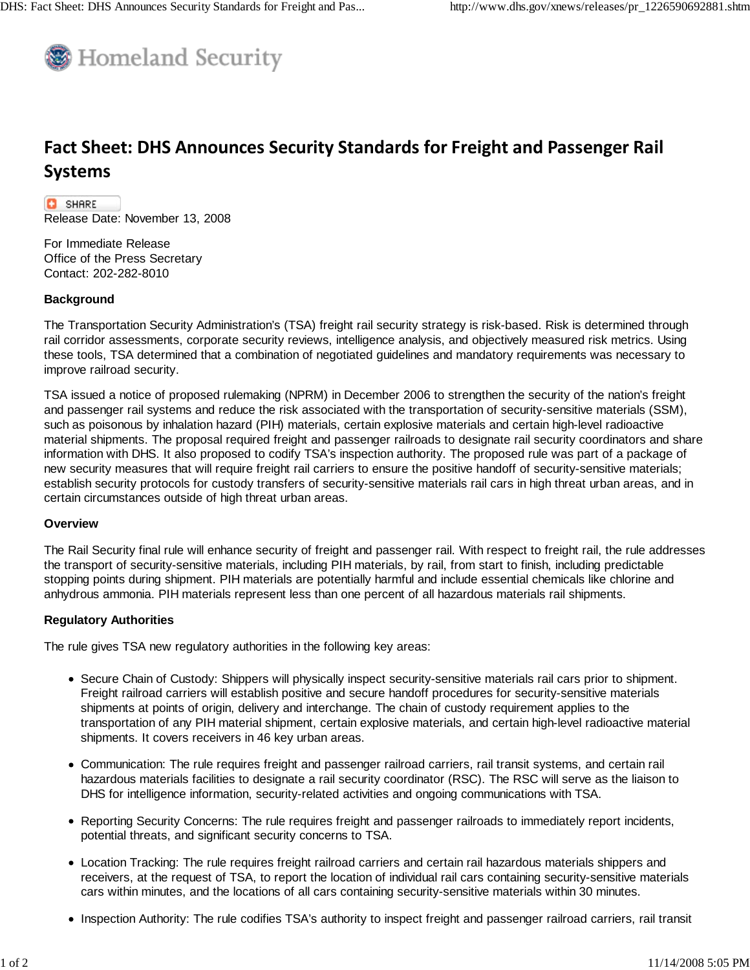

# **Fact Sheet: DHS Announces Security Standards for Freight and Passenger Rail Systems**

**C** SHARE Release Date: November 13, 2008

For Immediate Release Office of the Press Secretary Contact: 202-282-8010

## **Background**

The Transportation Security Administration's (TSA) freight rail security strategy is risk-based. Risk is determined through rail corridor assessments, corporate security reviews, intelligence analysis, and objectively measured risk metrics. Using these tools, TSA determined that a combination of negotiated guidelines and mandatory requirements was necessary to improve railroad security.

TSA issued a notice of proposed rulemaking (NPRM) in December 2006 to strengthen the security of the nation's freight and passenger rail systems and reduce the risk associated with the transportation of security-sensitive materials (SSM), such as poisonous by inhalation hazard (PIH) materials, certain explosive materials and certain high-level radioactive material shipments. The proposal required freight and passenger railroads to designate rail security coordinators and share information with DHS. It also proposed to codify TSA's inspection authority. The proposed rule was part of a package of new security measures that will require freight rail carriers to ensure the positive handoff of security-sensitive materials; establish security protocols for custody transfers of security-sensitive materials rail cars in high threat urban areas, and in certain circumstances outside of high threat urban areas.

## **Overview**

The Rail Security final rule will enhance security of freight and passenger rail. With respect to freight rail, the rule addresses the transport of security-sensitive materials, including PIH materials, by rail, from start to finish, including predictable stopping points during shipment. PIH materials are potentially harmful and include essential chemicals like chlorine and anhydrous ammonia. PIH materials represent less than one percent of all hazardous materials rail shipments.

# **Regulatory Authorities**

The rule gives TSA new regulatory authorities in the following key areas:

- Secure Chain of Custody: Shippers will physically inspect security-sensitive materials rail cars prior to shipment. Freight railroad carriers will establish positive and secure handoff procedures for security-sensitive materials shipments at points of origin, delivery and interchange. The chain of custody requirement applies to the transportation of any PIH material shipment, certain explosive materials, and certain high-level radioactive material shipments. It covers receivers in 46 key urban areas.
- Communication: The rule requires freight and passenger railroad carriers, rail transit systems, and certain rail hazardous materials facilities to designate a rail security coordinator (RSC). The RSC will serve as the liaison to DHS for intelligence information, security-related activities and ongoing communications with TSA.
- Reporting Security Concerns: The rule requires freight and passenger railroads to immediately report incidents, potential threats, and significant security concerns to TSA.
- Location Tracking: The rule requires freight railroad carriers and certain rail hazardous materials shippers and receivers, at the request of TSA, to report the location of individual rail cars containing security-sensitive materials cars within minutes, and the locations of all cars containing security-sensitive materials within 30 minutes.
- Inspection Authority: The rule codifies TSA's authority to inspect freight and passenger railroad carriers, rail transit